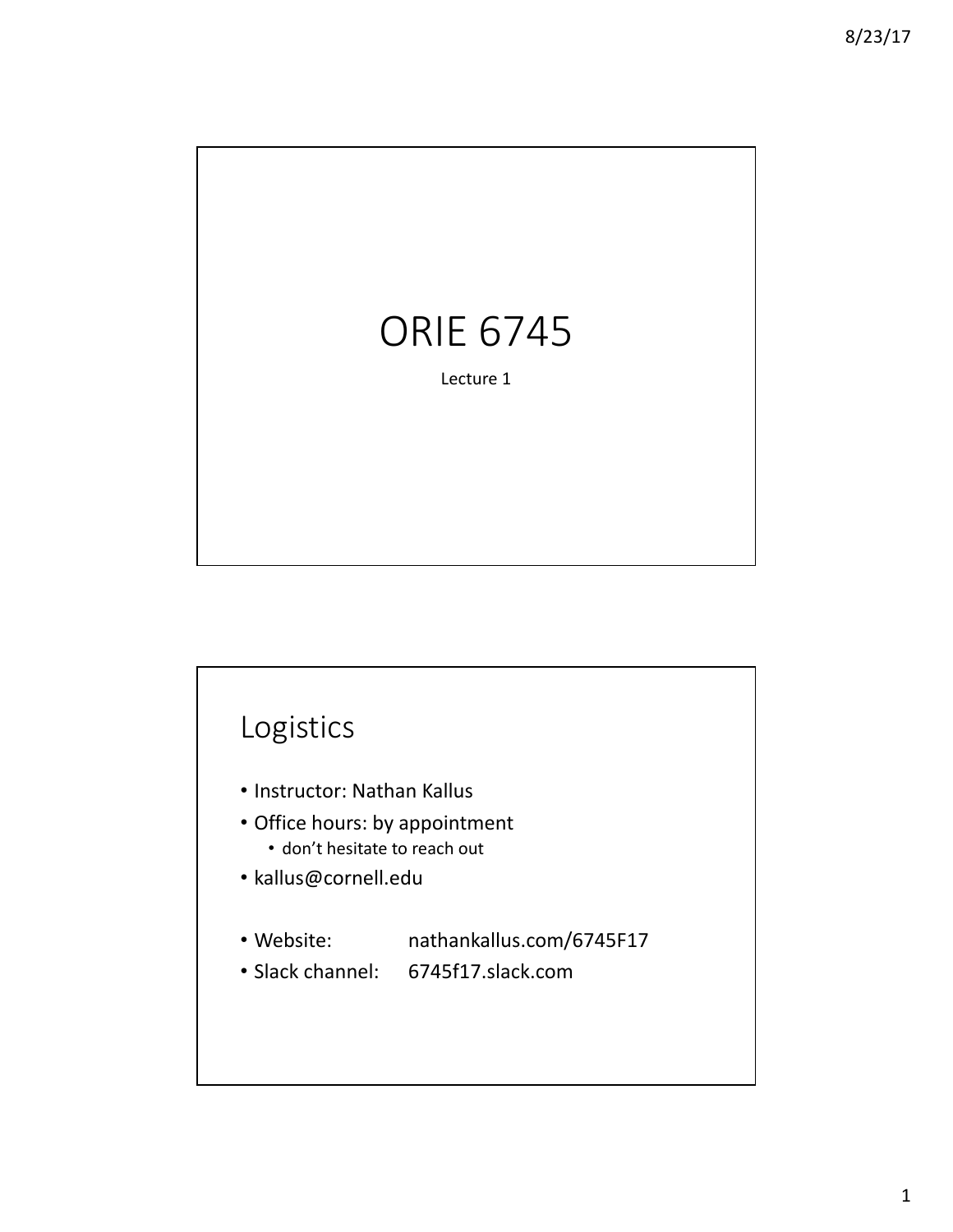

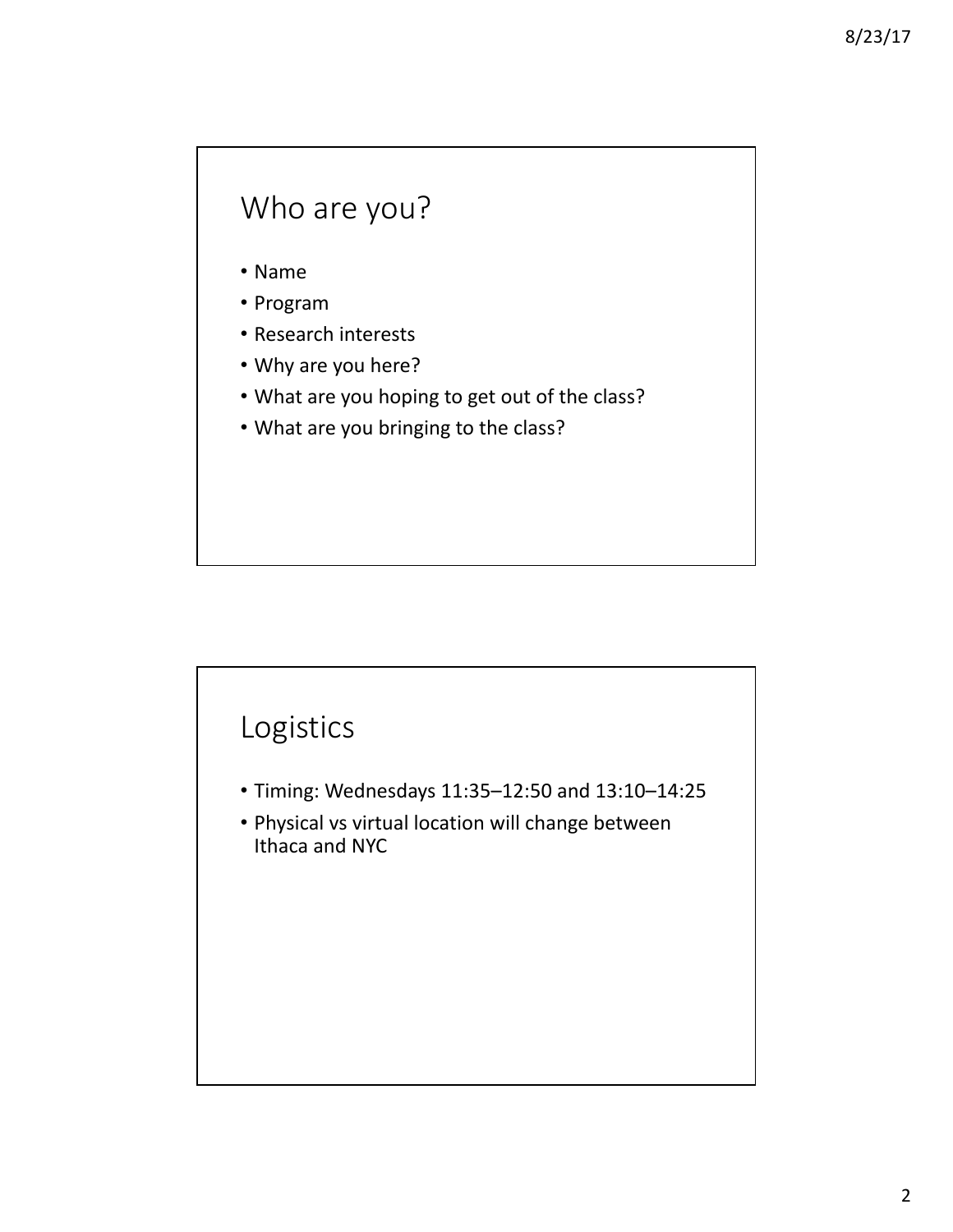### Who are you?

- Name
- Program
- Research interests
- Why are you here?
- What are you hoping to get out of the class?
- What are you bringing to the class?

### Logistics

- Timing: Wednesdays 11:35–12:50 and 13:10–14:25
- Physical vs virtual location will change between Ithaca and NYC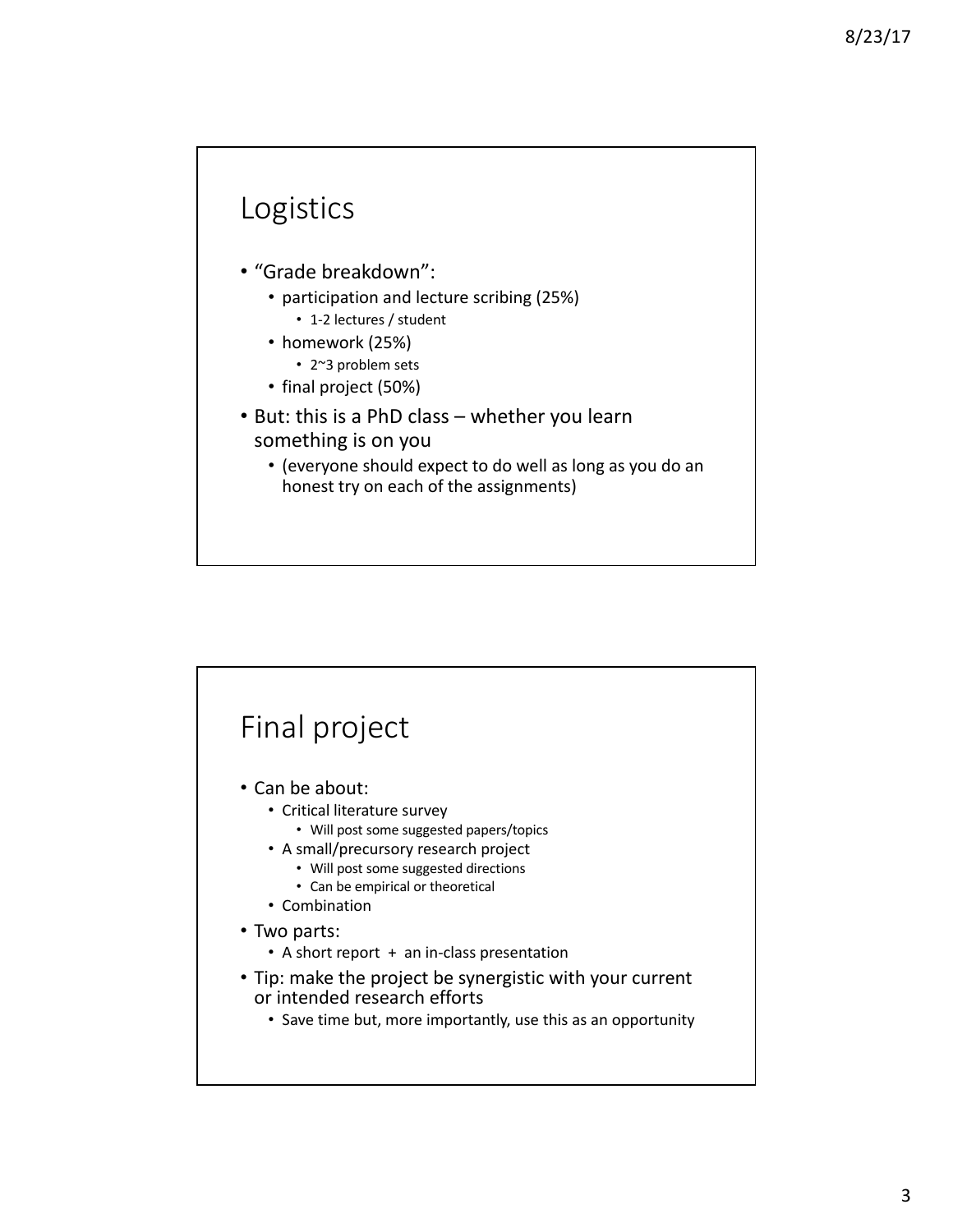#### Logistics

- "Grade breakdown":
	- participation and lecture scribing (25%)
		- 1-2 lectures / student
	- homework (25%)
		- 2~3 problem sets
	- final project (50%)
- But: this is a PhD class whether you learn something is on you
	- (everyone should expect to do well as long as you do an honest try on each of the assignments)

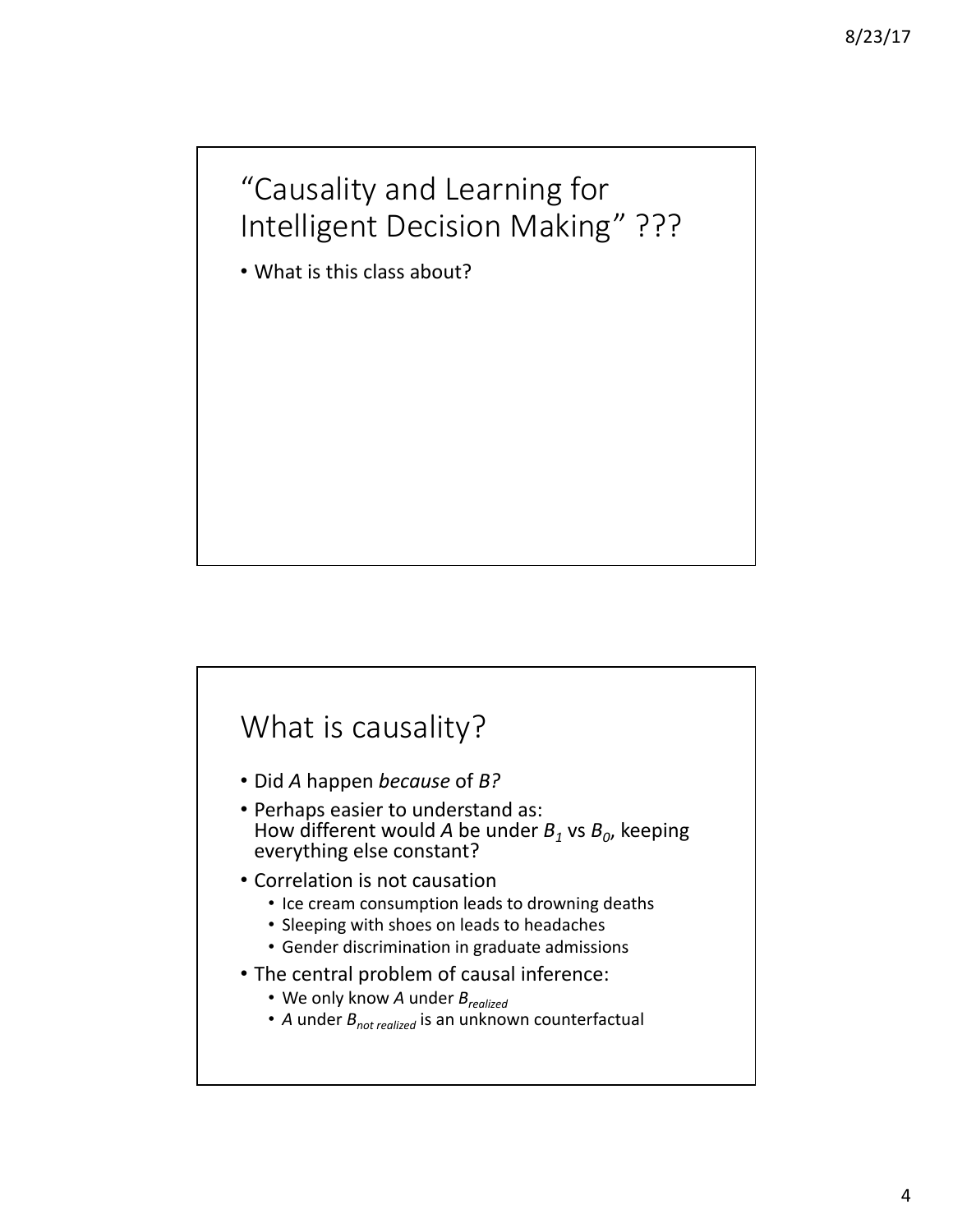# "Causality and Learning for Intelligent Decision Making" ???

• What is this class about?

#### What is causality?

- Did *A* happen *because* of *B?*
- Perhaps easier to understand as: How different would *A* be under  $B_1$  vs  $B_0$ , keeping everything else constant?
- Correlation is not causation
	- Ice cream consumption leads to drowning deaths
	- Sleeping with shoes on leads to headaches
	- Gender discrimination in graduate admissions
- The central problem of causal inference:
	- We only know *A* under  $B_{\text{realized}}$
	- *A* under  $B_{\text{not realized}}$  is an unknown counterfactual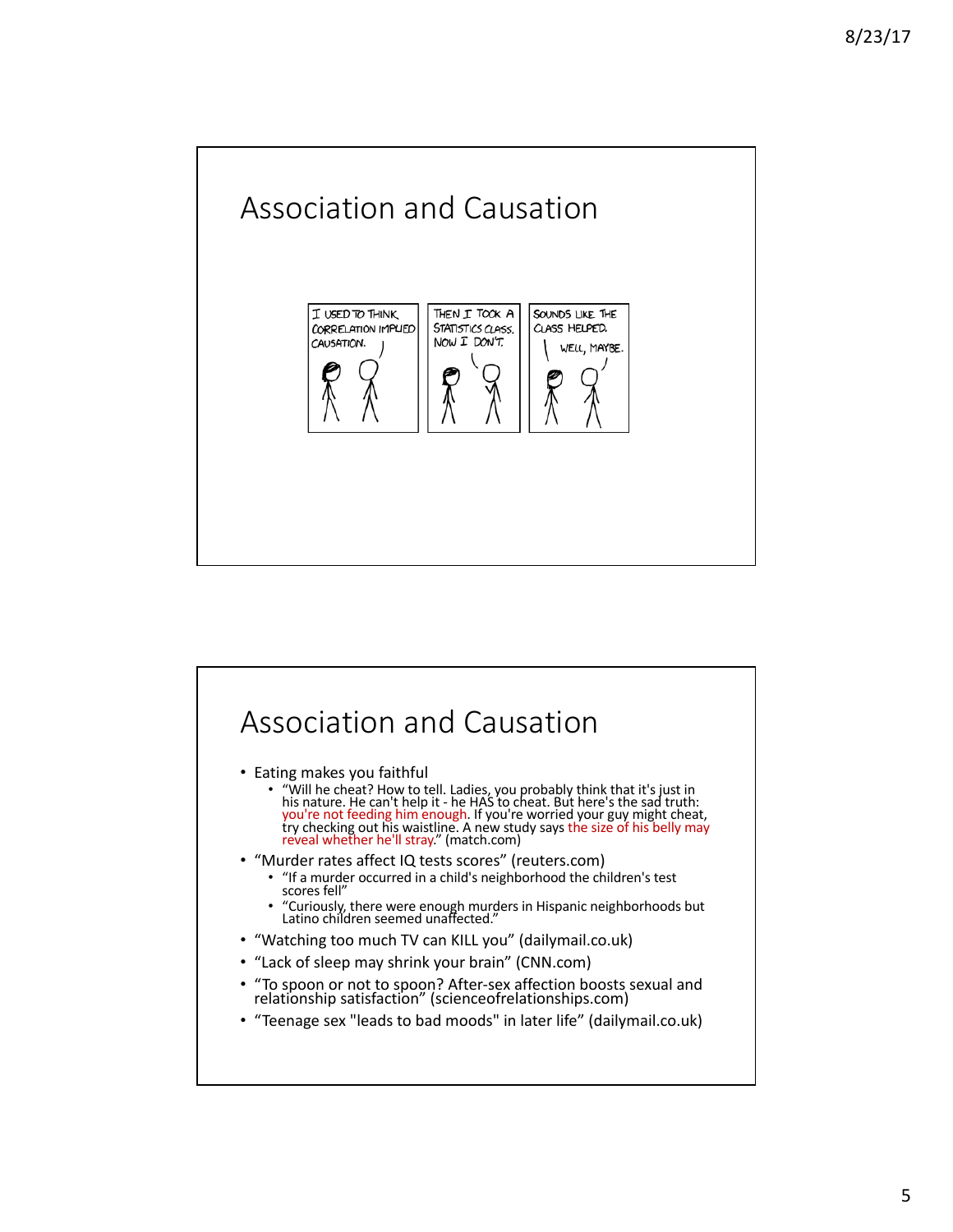

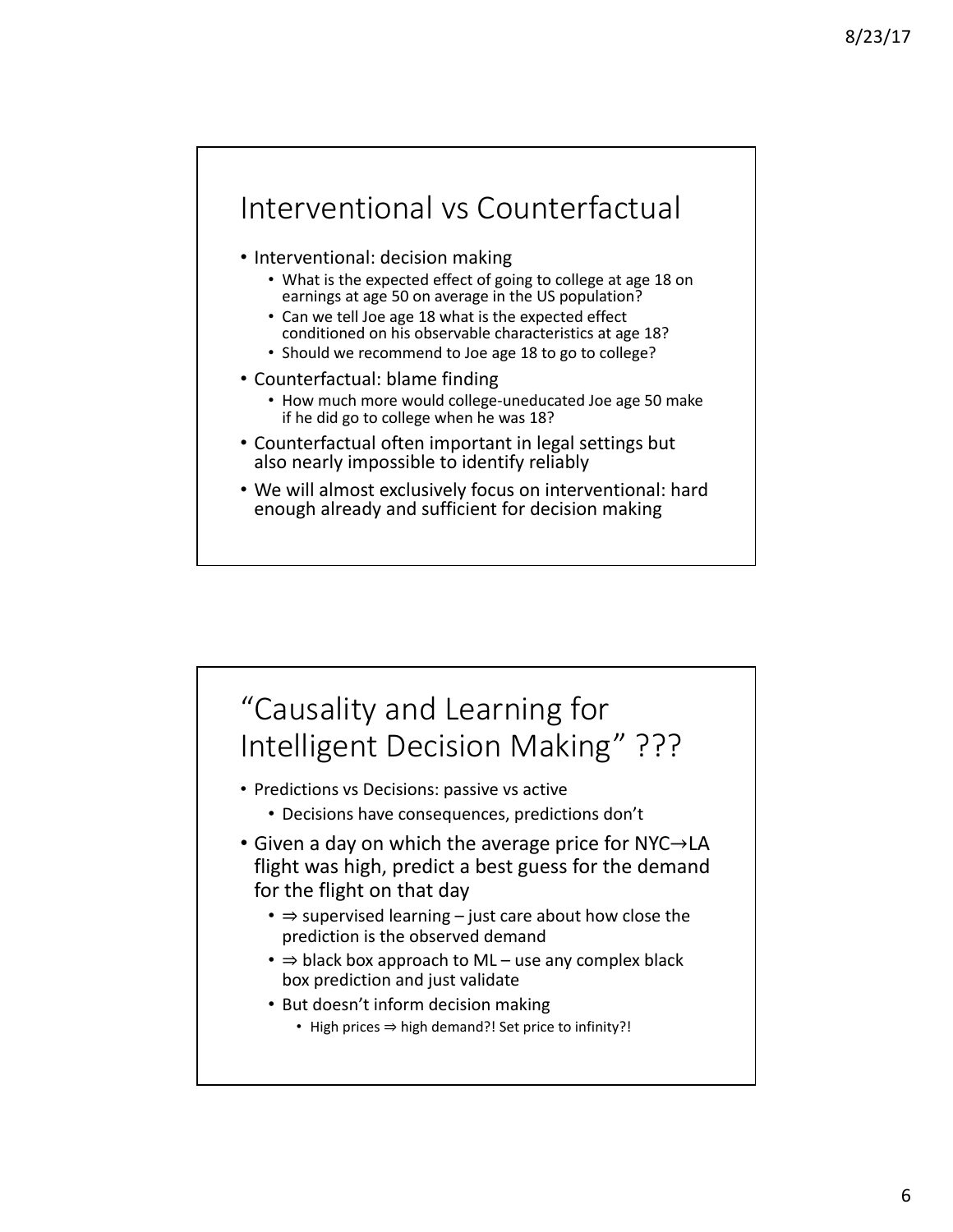### Interventional vs Counterfactual

- Interventional: decision making
	- What is the expected effect of going to college at age 18 on earnings at age 50 on average in the US population?
	- Can we tell Joe age 18 what is the expected effect conditioned on his observable characteristics at age 18?
	- Should we recommend to Joe age 18 to go to college?
- Counterfactual: blame finding
	- How much more would college-uneducated Joe age 50 make if he did go to college when he was 18?
- Counterfactual often important in legal settings but also nearly impossible to identify reliably
- We will almost exclusively focus on interventional: hard enough already and sufficient for decision making

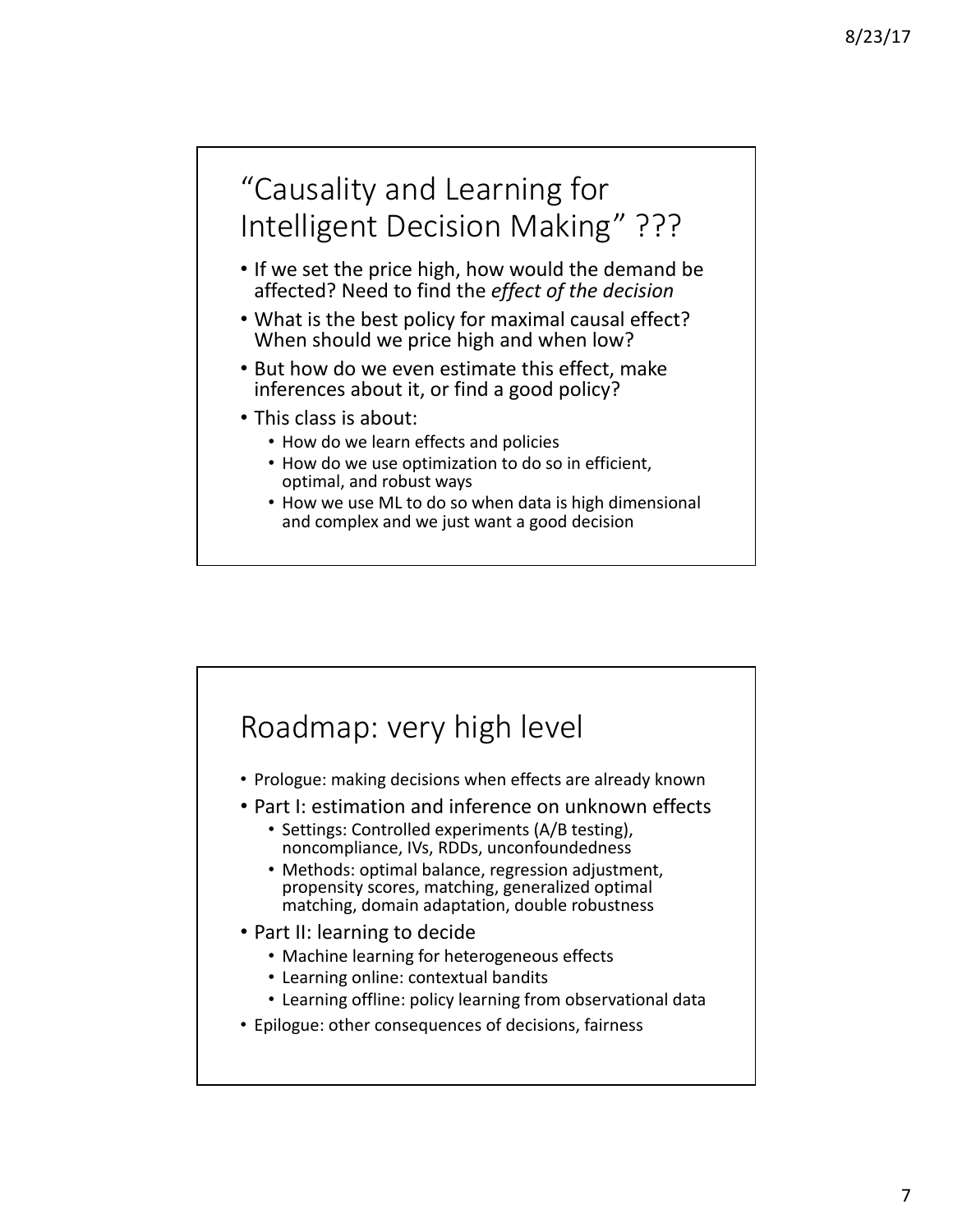# "Causality and Learning for Intelligent Decision Making" ???

- If we set the price high, how would the demand be affected? Need to find the *effect of the decision*
- What is the best policy for maximal causal effect? When should we price high and when low?
- But how do we even estimate this effect, make inferences about it, or find a good policy?
- This class is about:
	- How do we learn effects and policies
	- How do we use optimization to do so in efficient, optimal, and robust ways
	- How we use ML to do so when data is high dimensional and complex and we just want a good decision

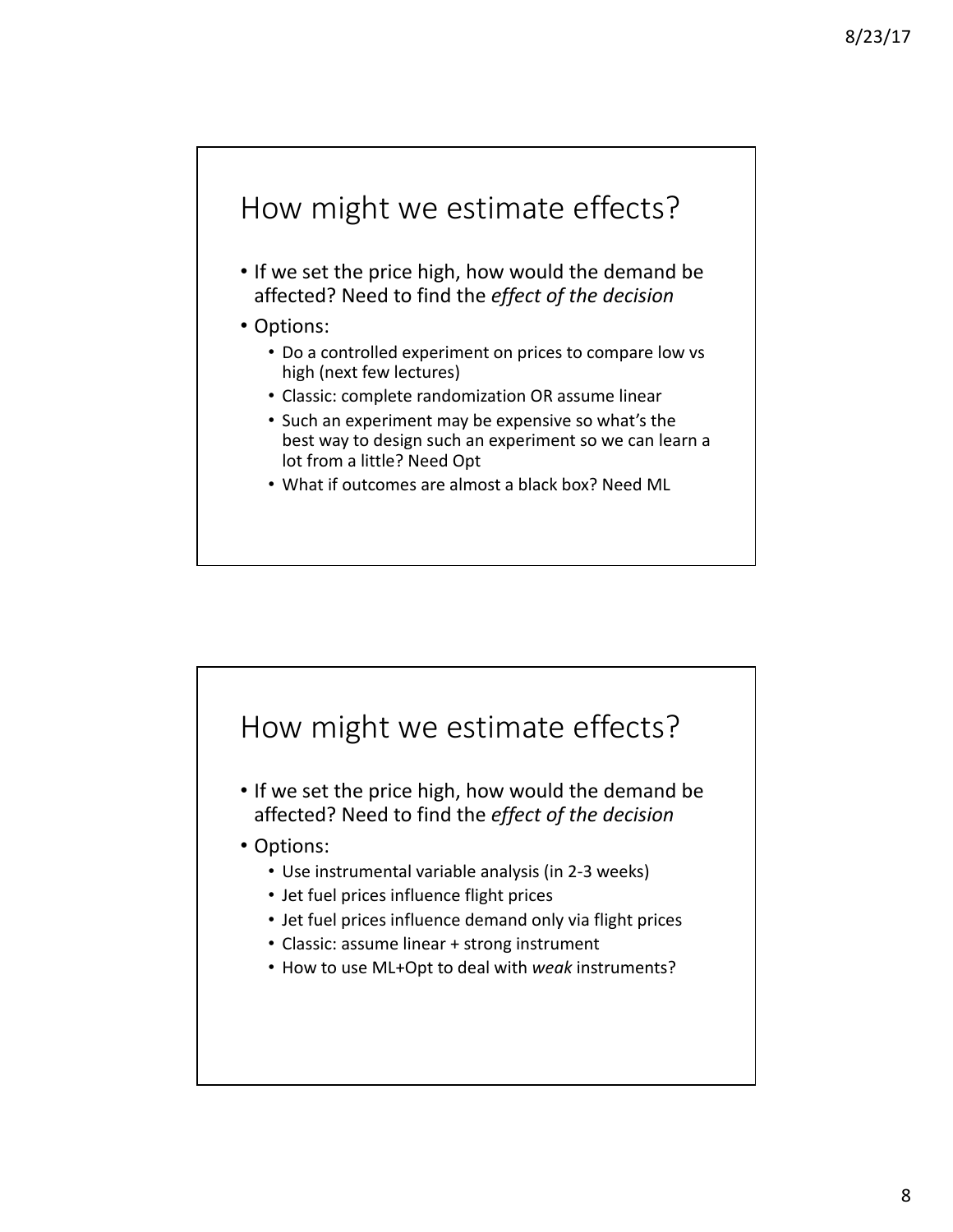# How might we estimate effects?

- If we set the price high, how would the demand be affected? Need to find the *effect of the decision*
- Options:
	- Do a controlled experiment on prices to compare low vs high (next few lectures)
	- Classic: complete randomization OR assume linear
	- Such an experiment may be expensive so what's the best way to design such an experiment so we can learn a lot from a little? Need Opt
	- What if outcomes are almost a black box? Need ML

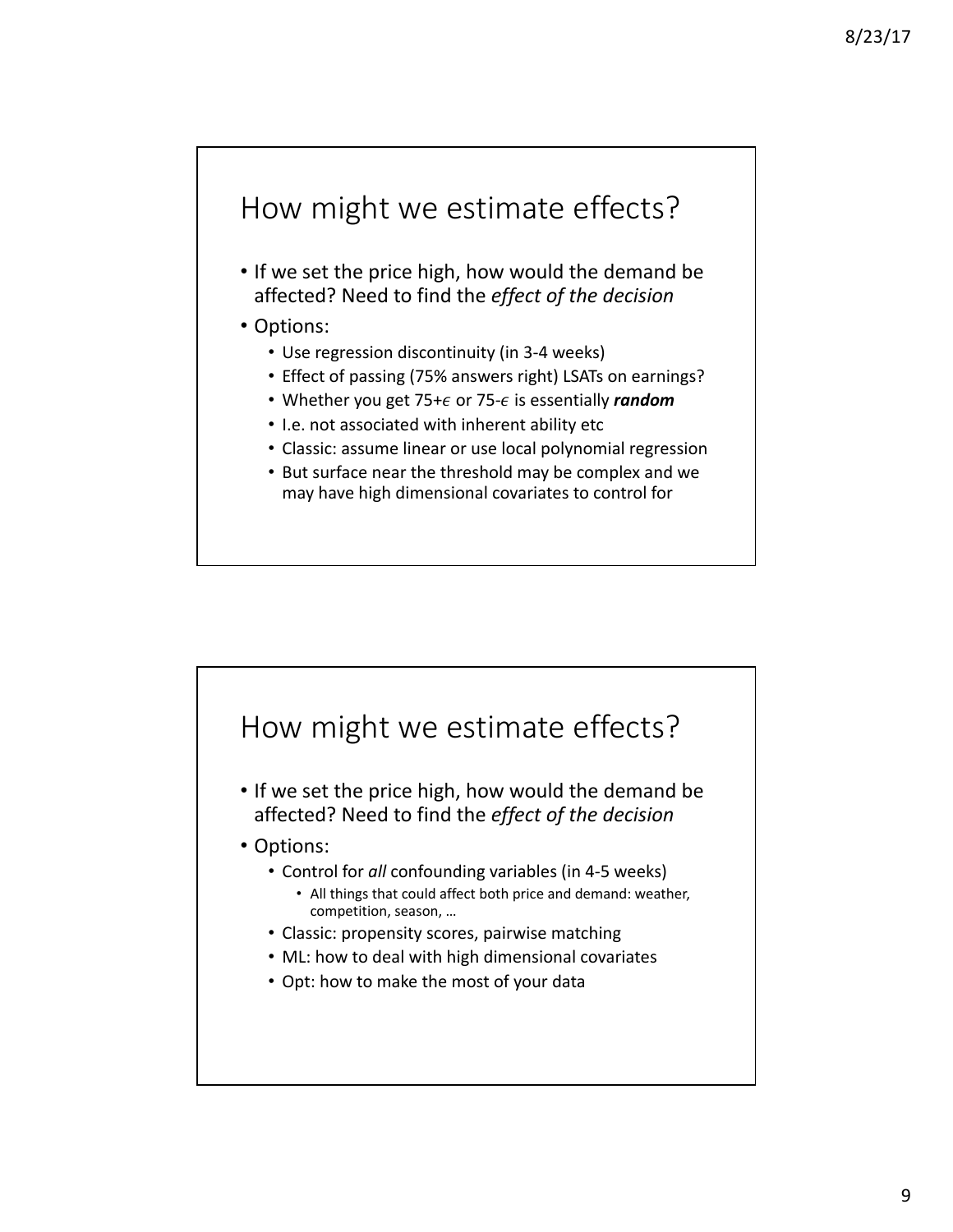# How might we estimate effects?

• If we set the price high, how would the demand be affected? Need to find the *effect of the decision*

#### • Options:

- Use regression discontinuity (in 3-4 weeks)
- Effect of passing (75% answers right) LSATs on earnings?
- Whether you get  $75+\epsilon$  or  $75-\epsilon$  is essentially *random*
- I.e. not associated with inherent ability etc
- Classic: assume linear or use local polynomial regression
- But surface near the threshold may be complex and we may have high dimensional covariates to control for

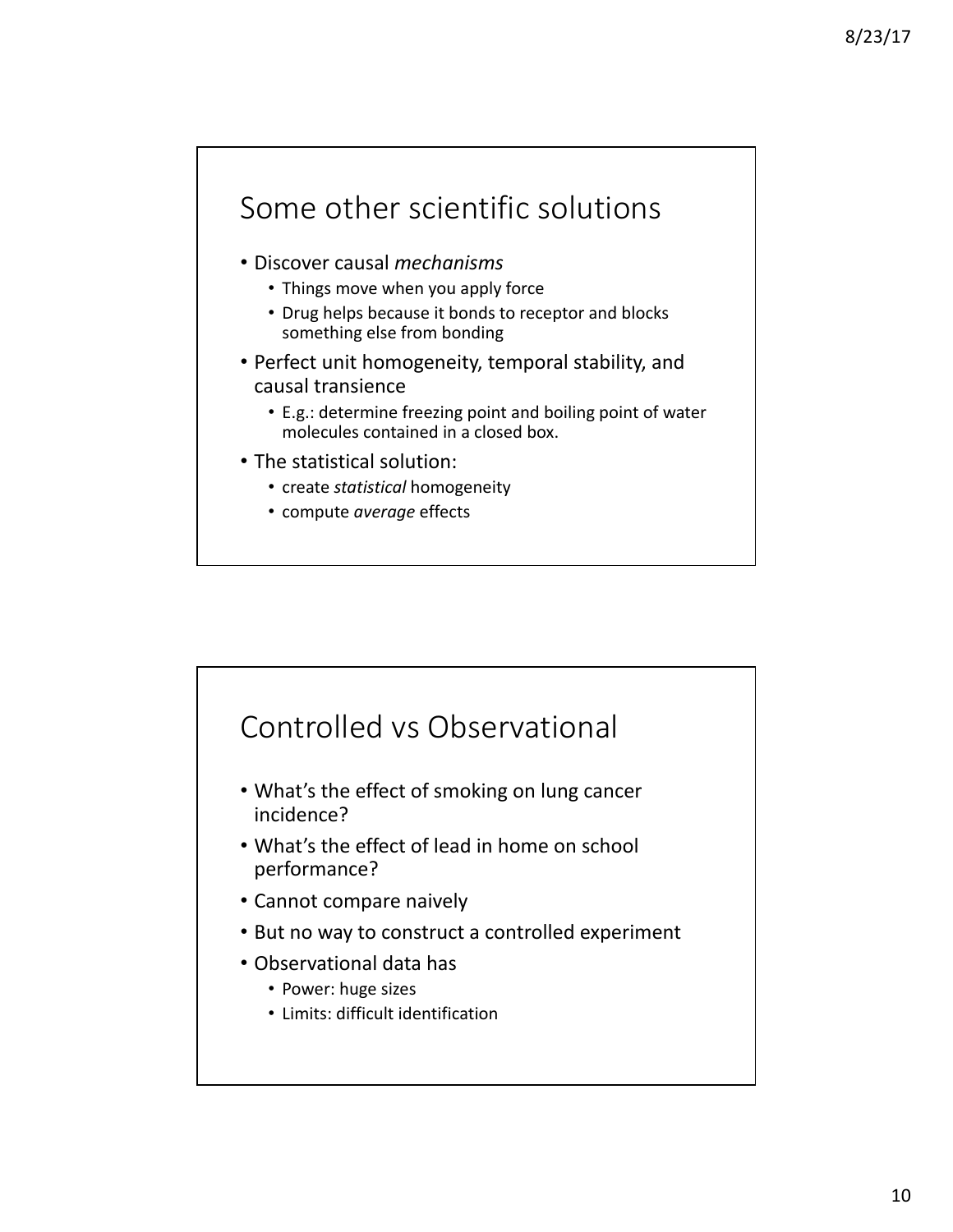# Some other scientific solutions

- Discover causal *mechanisms*
	- Things move when you apply force
	- Drug helps because it bonds to receptor and blocks something else from bonding
- Perfect unit homogeneity, temporal stability, and causal transience
	- E.g.: determine freezing point and boiling point of water molecules contained in a closed box.
- The statistical solution:
	- create *statistical* homogeneity
	- compute *average* effects